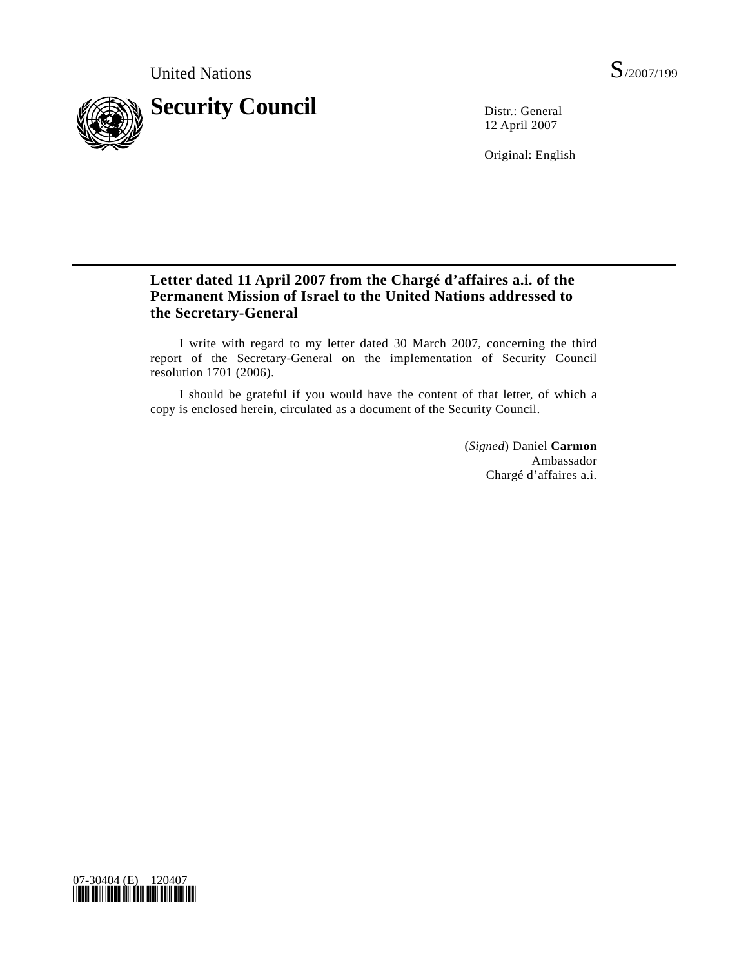

12 April 2007

Original: English

# **Letter dated 11 April 2007 from the Chargé d'affaires a.i. of the Permanent Mission of Israel to the United Nations addressed to the Secretary-General**

 I write with regard to my letter dated 30 March 2007, concerning the third report of the Secretary-General on the implementation of Security Council resolution 1701 (2006).

 I should be grateful if you would have the content of that letter, of which a copy is enclosed herein, circulated as a document of the Security Council.

> (*Signed*) Daniel **Carmon** Ambassador Chargé d'affaires a.i.

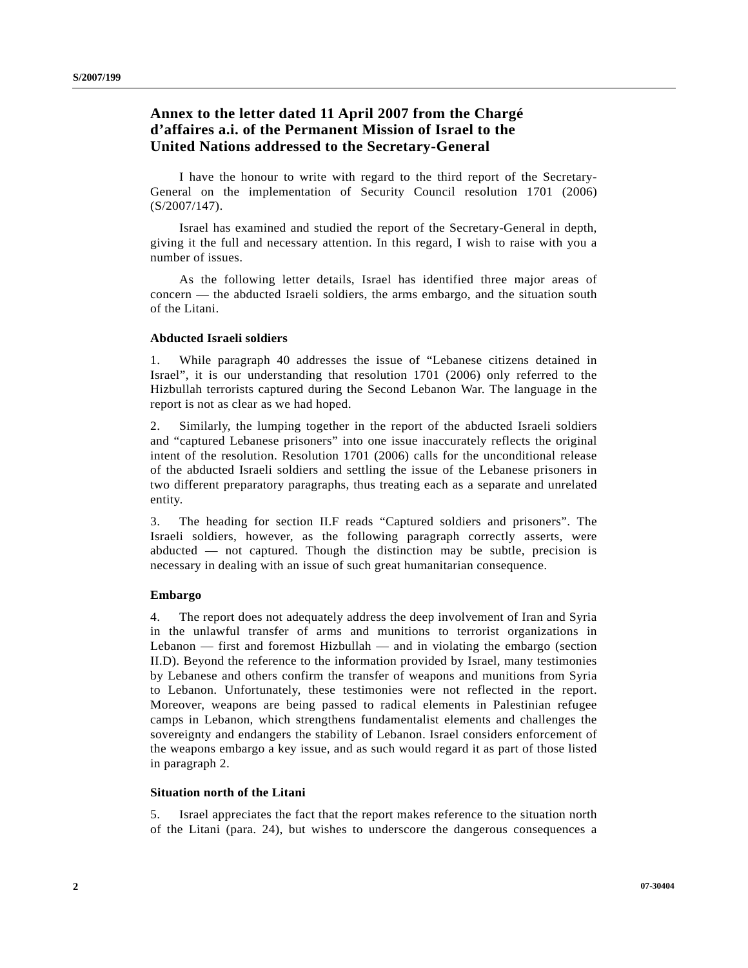## **Annex to the letter dated 11 April 2007 from the Chargé d'affaires a.i. of the Permanent Mission of Israel to the United Nations addressed to the Secretary-General**

 I have the honour to write with regard to the third report of the Secretary-General on the implementation of Security Council resolution 1701 (2006) (S/2007/147).

 Israel has examined and studied the report of the Secretary-General in depth, giving it the full and necessary attention. In this regard, I wish to raise with you a number of issues.

 As the following letter details, Israel has identified three major areas of concern — the abducted Israeli soldiers, the arms embargo, and the situation south of the Litani.

## **Abducted Israeli soldiers**

1. While paragraph 40 addresses the issue of "Lebanese citizens detained in Israel", it is our understanding that resolution 1701 (2006) only referred to the Hizbullah terrorists captured during the Second Lebanon War. The language in the report is not as clear as we had hoped.

2. Similarly, the lumping together in the report of the abducted Israeli soldiers and "captured Lebanese prisoners" into one issue inaccurately reflects the original intent of the resolution. Resolution 1701 (2006) calls for the unconditional release of the abducted Israeli soldiers and settling the issue of the Lebanese prisoners in two different preparatory paragraphs, thus treating each as a separate and unrelated entity.

3. The heading for section II.F reads "Captured soldiers and prisoners". The Israeli soldiers, however, as the following paragraph correctly asserts, were abducted — not captured. Though the distinction may be subtle, precision is necessary in dealing with an issue of such great humanitarian consequence.

## **Embargo**

4. The report does not adequately address the deep involvement of Iran and Syria in the unlawful transfer of arms and munitions to terrorist organizations in Lebanon — first and foremost Hizbullah — and in violating the embargo (section II.D). Beyond the reference to the information provided by Israel, many testimonies by Lebanese and others confirm the transfer of weapons and munitions from Syria to Lebanon. Unfortunately, these testimonies were not reflected in the report. Moreover, weapons are being passed to radical elements in Palestinian refugee camps in Lebanon, which strengthens fundamentalist elements and challenges the sovereignty and endangers the stability of Lebanon. Israel considers enforcement of the weapons embargo a key issue, and as such would regard it as part of those listed in paragraph 2.

#### **Situation north of the Litani**

5. Israel appreciates the fact that the report makes reference to the situation north of the Litani (para. 24), but wishes to underscore the dangerous consequences a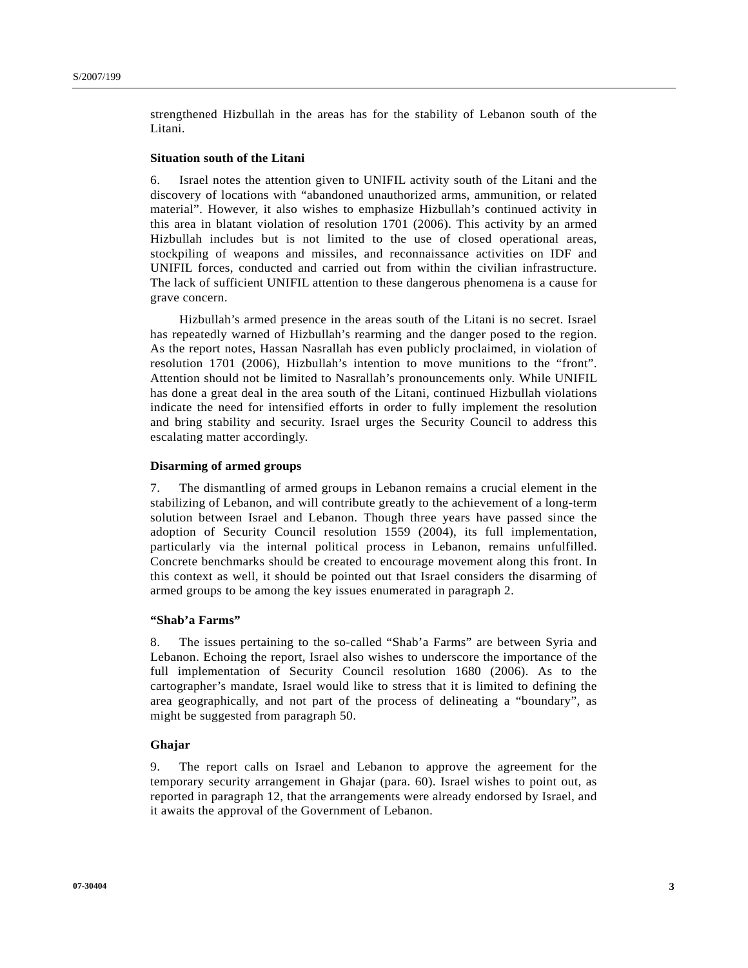strengthened Hizbullah in the areas has for the stability of Lebanon south of the Litani.

#### **Situation south of the Litani**

6. Israel notes the attention given to UNIFIL activity south of the Litani and the discovery of locations with "abandoned unauthorized arms, ammunition, or related material". However, it also wishes to emphasize Hizbullah's continued activity in this area in blatant violation of resolution 1701 (2006). This activity by an armed Hizbullah includes but is not limited to the use of closed operational areas, stockpiling of weapons and missiles, and reconnaissance activities on IDF and UNIFIL forces, conducted and carried out from within the civilian infrastructure. The lack of sufficient UNIFIL attention to these dangerous phenomena is a cause for grave concern.

 Hizbullah's armed presence in the areas south of the Litani is no secret. Israel has repeatedly warned of Hizbullah's rearming and the danger posed to the region. As the report notes, Hassan Nasrallah has even publicly proclaimed, in violation of resolution 1701 (2006), Hizbullah's intention to move munitions to the "front". Attention should not be limited to Nasrallah's pronouncements only. While UNIFIL has done a great deal in the area south of the Litani, continued Hizbullah violations indicate the need for intensified efforts in order to fully implement the resolution and bring stability and security. Israel urges the Security Council to address this escalating matter accordingly.

#### **Disarming of armed groups**

7. The dismantling of armed groups in Lebanon remains a crucial element in the stabilizing of Lebanon, and will contribute greatly to the achievement of a long-term solution between Israel and Lebanon. Though three years have passed since the adoption of Security Council resolution 1559 (2004), its full implementation, particularly via the internal political process in Lebanon, remains unfulfilled. Concrete benchmarks should be created to encourage movement along this front. In this context as well, it should be pointed out that Israel considers the disarming of armed groups to be among the key issues enumerated in paragraph 2.

## **"Shab'a Farms"**

8. The issues pertaining to the so-called "Shab'a Farms" are between Syria and Lebanon. Echoing the report, Israel also wishes to underscore the importance of the full implementation of Security Council resolution 1680 (2006). As to the cartographer's mandate, Israel would like to stress that it is limited to defining the area geographically, and not part of the process of delineating a "boundary", as might be suggested from paragraph 50.

## **Ghajar**

9. The report calls on Israel and Lebanon to approve the agreement for the temporary security arrangement in Ghajar (para. 60). Israel wishes to point out, as reported in paragraph 12, that the arrangements were already endorsed by Israel, and it awaits the approval of the Government of Lebanon.